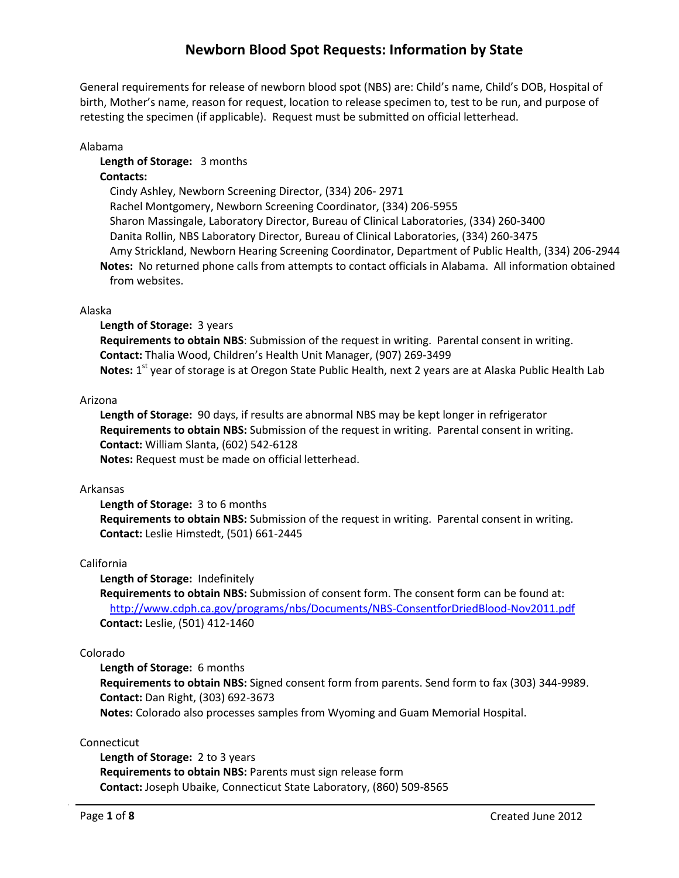General requirements for release of newborn blood spot (NBS) are: Child's name, Child's DOB, Hospital of birth, Mother's name, reason for request, location to release specimen to, test to be run, and purpose of retesting the specimen (if applicable). Request must be submitted on official letterhead.

Alabama

### **Length of Storage:** 3 months

## **Contacts:**

Cindy Ashley, Newborn Screening Director, (334) 206- 2971 Rachel Montgomery, Newborn Screening Coordinator, (334) 206-5955 Sharon Massingale, Laboratory Director, Bureau of Clinical Laboratories, (334) 260-3400 Danita Rollin, NBS Laboratory Director, Bureau of Clinical Laboratories, (334) 260-3475 Amy Strickland, Newborn Hearing Screening Coordinator, Department of Public Health, (334) 206-2944 **Notes:** No returned phone calls from attempts to contact officials in Alabama. All information obtained from websites.

## Alaska

### **Length of Storage:** 3 years

**Requirements to obtain NBS**: Submission of the request in writing. Parental consent in writing. **Contact:** Thalia Wood, Children's Health Unit Manager, (907) 269-3499 **Notes:** 1 st year of storage is at Oregon State Public Health, next 2 years are at Alaska Public Health Lab

### Arizona

**Length of Storage:** 90 days, if results are abnormal NBS may be kept longer in refrigerator **Requirements to obtain NBS:** Submission of the request in writing. Parental consent in writing. **Contact:** William Slanta, (602) 542-6128 **Notes:** Request must be made on official letterhead.

#### Arkansas

**Length of Storage:** 3 to 6 months **Requirements to obtain NBS:** Submission of the request in writing. Parental consent in writing. **Contact:** Leslie Himstedt, (501) 661-2445

## California

**Length of Storage:** Indefinitely

**Requirements to obtain NBS:** Submission of consent form. The consent form can be found at: <http://www.cdph.ca.gov/programs/nbs/Documents/NBS-ConsentforDriedBlood-Nov2011.pdf> **Contact:** Leslie, (501) 412-1460

## Colorado

**Length of Storage:** 6 months **Requirements to obtain NBS:** Signed consent form from parents. Send form to fax (303) 344-9989. **Contact:** Dan Right, (303) 692-3673 **Notes:** Colorado also processes samples from Wyoming and Guam Memorial Hospital.

## Connecticut

**Length of Storage:** 2 to 3 years **Requirements to obtain NBS:** Parents must sign release form **Contact:** Joseph Ubaike, Connecticut State Laboratory, (860) 509-8565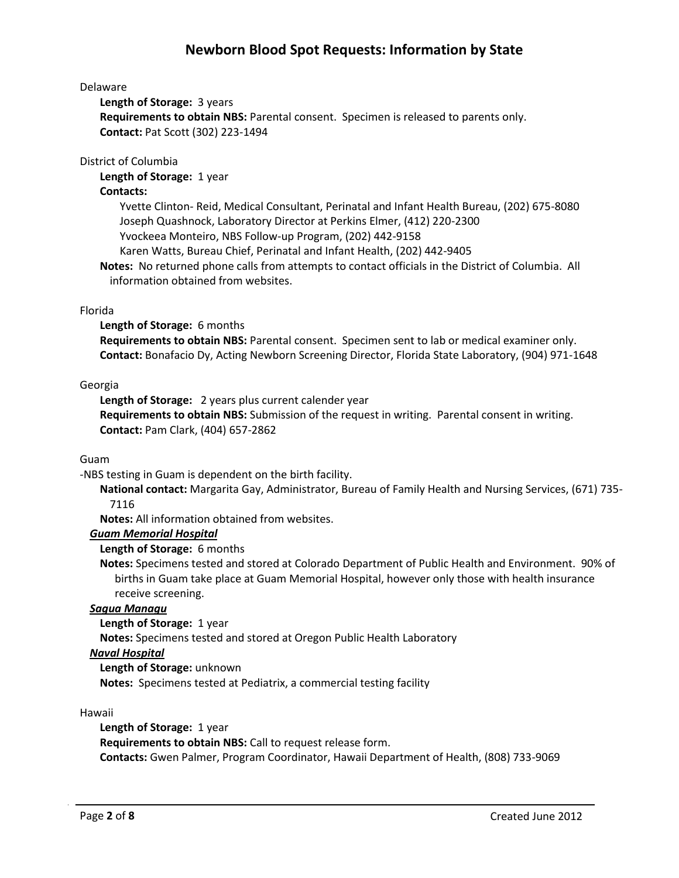## Delaware

**Length of Storage:** 3 years

**Requirements to obtain NBS:** Parental consent. Specimen is released to parents only. **Contact:** Pat Scott (302) 223-1494

### District of Columbia

**Length of Storage:** 1 year

### **Contacts:**

Yvette Clinton- Reid, Medical Consultant, Perinatal and Infant Health Bureau, (202) 675-8080 Joseph Quashnock, Laboratory Director at Perkins Elmer, (412) 220-2300 Yvockeea Monteiro, NBS Follow-up Program, (202) 442-9158

Karen Watts, Bureau Chief, Perinatal and Infant Health, (202) 442-9405

**Notes:** No returned phone calls from attempts to contact officials in the District of Columbia. All information obtained from websites.

### Florida

### **Length of Storage:** 6 months

**Requirements to obtain NBS:** Parental consent. Specimen sent to lab or medical examiner only. **Contact:** Bonafacio Dy, Acting Newborn Screening Director, Florida State Laboratory, (904) 971-1648

### Georgia

**Length of Storage:** 2 years plus current calender year **Requirements to obtain NBS:** Submission of the request in writing. Parental consent in writing. **Contact:** Pam Clark, (404) 657-2862

## Guam

-NBS testing in Guam is dependent on the birth facility.

**National contact:** Margarita Gay, Administrator, Bureau of Family Health and Nursing Services, (671) 735- 7116

**Notes:** All information obtained from websites.

## *Guam Memorial Hospital*

## **Length of Storage:** 6 months

**Notes:** Specimens tested and stored at Colorado Department of Public Health and Environment. 90% of births in Guam take place at Guam Memorial Hospital, however only those with health insurance receive screening.

#### *Sagua Managu*

**Length of Storage:** 1 year

**Notes:** Specimens tested and stored at Oregon Public Health Laboratory

## *Naval Hospital*

**Length of Storage:** unknown **Notes:** Specimens tested at Pediatrix, a commercial testing facility

#### Hawaii

**Length of Storage:** 1 year **Requirements to obtain NBS:** Call to request release form. **Contacts:** Gwen Palmer, Program Coordinator, Hawaii Department of Health, (808) 733-9069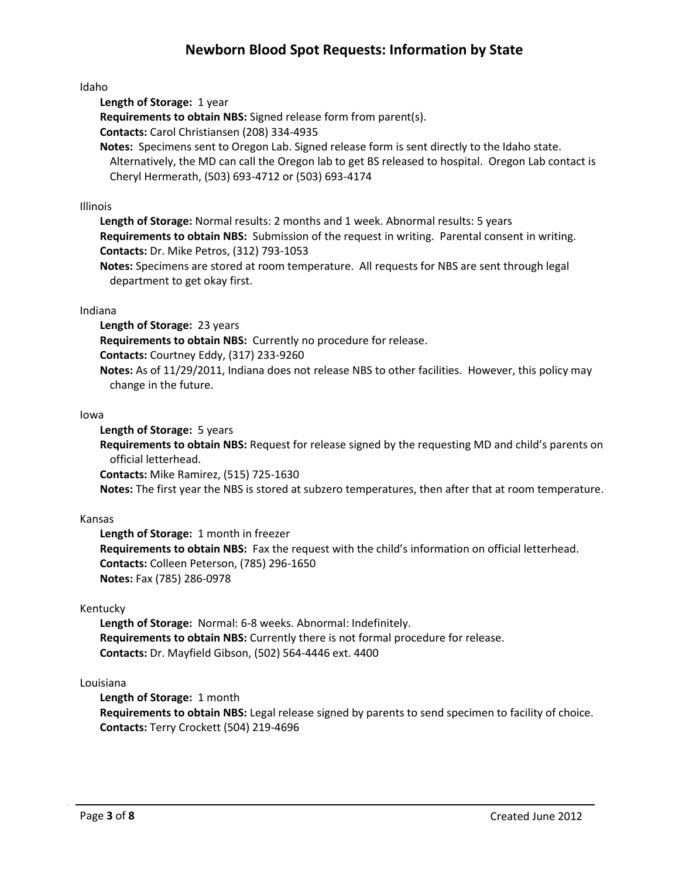Idaho

**Length of Storage:** 1 year

**Requirements to obtain NBS:** Signed release form from parent(s).

**Contacts:** Carol Christiansen (208) 334-4935

**Notes:** Specimens sent to Oregon Lab. Signed release form is sent directly to the Idaho state. Alternatively, the MD can call the Oregon lab to get BS released to hospital. Oregon Lab contact is Cheryl Hermerath, (503) 693-4712 or (503) 693-4174

## Illinois

**Length of Storage:** Normal results: 2 months and 1 week. Abnormal results: 5 years **Requirements to obtain NBS:** Submission of the request in writing. Parental consent in writing. **Contacts:** Dr. Mike Petros, (312) 793-1053

**Notes:** Specimens are stored at room temperature. All requests for NBS are sent through legal department to get okay first.

### Indiana

**Length of Storage:** 23 years

**Requirements to obtain NBS:** Currently no procedure for release.

**Contacts:** Courtney Eddy, (317) 233-9260

**Notes:** As of 11/29/2011, Indiana does not release NBS to other facilities. However, this policy may change in the future.

### Iowa

**Length of Storage:** 5 years

**Requirements to obtain NBS:** Request for release signed by the requesting MD and child's parents on official letterhead.

**Contacts:** Mike Ramirez, (515) 725-1630

**Notes:** The first year the NBS is stored at subzero temperatures, then after that at room temperature.

## Kansas

**Length of Storage:** 1 month in freezer **Requirements to obtain NBS:** Fax the request with the child's information on official letterhead. **Contacts:** Colleen Peterson, (785) 296-1650 **Notes:** Fax (785) 286-0978

## Kentucky

**Length of Storage:** Normal: 6-8 weeks. Abnormal: Indefinitely. **Requirements to obtain NBS:** Currently there is not formal procedure for release. **Contacts:** Dr. Mayfield Gibson, (502) 564-4446 ext. 4400

## Louisiana

**Length of Storage:** 1 month

**Requirements to obtain NBS:** Legal release signed by parents to send specimen to facility of choice. **Contacts:** Terry Crockett (504) 219-4696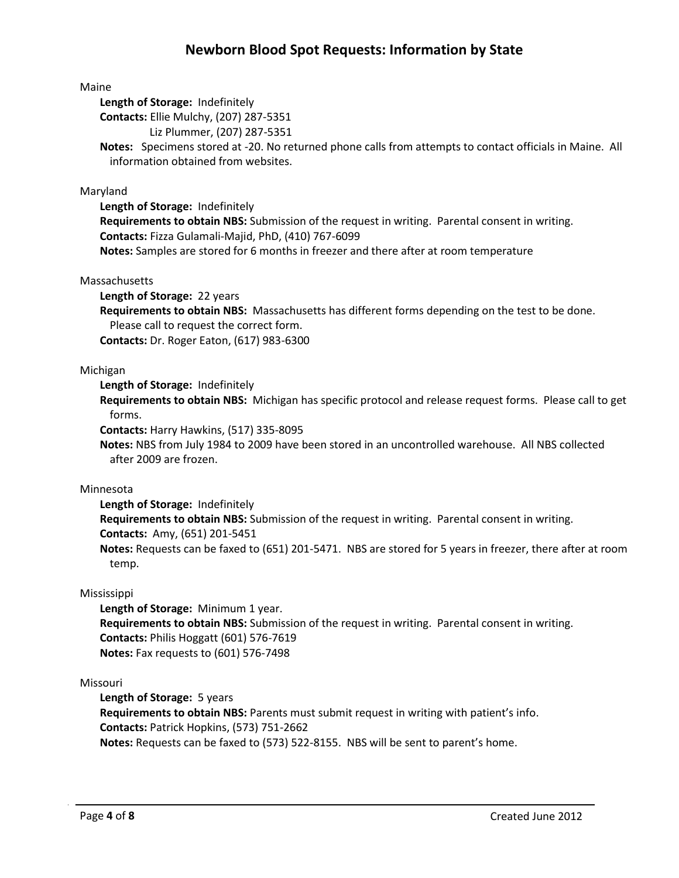### Maine

**Length of Storage:** Indefinitely

**Contacts:** Ellie Mulchy, (207) 287-5351

Liz Plummer, (207) 287-5351

**Notes:** Specimens stored at -20. No returned phone calls from attempts to contact officials in Maine. All information obtained from websites.

### Maryland

**Length of Storage:** Indefinitely

**Requirements to obtain NBS:** Submission of the request in writing. Parental consent in writing. **Contacts:** Fizza Gulamali-Majid, PhD, (410) 767-6099

**Notes:** Samples are stored for 6 months in freezer and there after at room temperature

### Massachusetts

**Length of Storage:** 22 years **Requirements to obtain NBS:** Massachusetts has different forms depending on the test to be done. Please call to request the correct form. **Contacts:** Dr. Roger Eaton, (617) 983-6300

### Michigan

**Length of Storage:** Indefinitely

**Requirements to obtain NBS:** Michigan has specific protocol and release request forms. Please call to get forms.

**Contacts:** Harry Hawkins, (517) 335-8095

**Notes:** NBS from July 1984 to 2009 have been stored in an uncontrolled warehouse. All NBS collected after 2009 are frozen.

## Minnesota

**Length of Storage:** Indefinitely

**Requirements to obtain NBS:** Submission of the request in writing. Parental consent in writing. **Contacts:** Amy, (651) 201-5451

**Notes:** Requests can be faxed to (651) 201-5471. NBS are stored for 5 years in freezer, there after at room temp.

## Mississippi

**Length of Storage:** Minimum 1 year. **Requirements to obtain NBS:** Submission of the request in writing. Parental consent in writing. **Contacts:** Philis Hoggatt (601) 576-7619 **Notes:** Fax requests to (601) 576-7498

#### Missouri

**Length of Storage:** 5 years **Requirements to obtain NBS:** Parents must submit request in writing with patient's info. **Contacts:** Patrick Hopkins, (573) 751-2662 **Notes:** Requests can be faxed to (573) 522-8155. NBS will be sent to parent's home.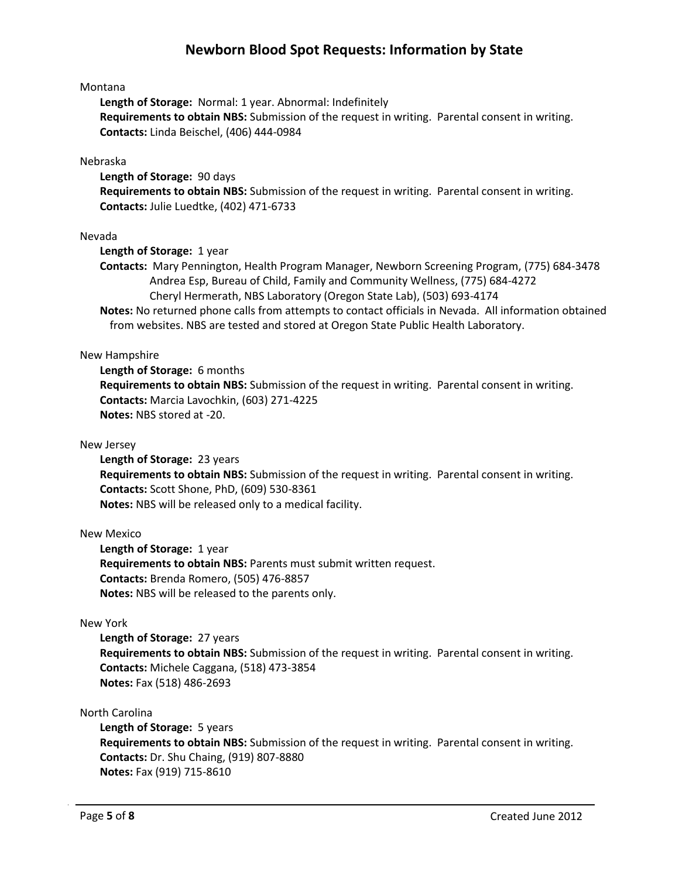### Montana

**Length of Storage:** Normal: 1 year. Abnormal: Indefinitely **Requirements to obtain NBS:** Submission of the request in writing. Parental consent in writing. **Contacts:** Linda Beischel, (406) 444-0984

### Nebraska

**Length of Storage:** 90 days **Requirements to obtain NBS:** Submission of the request in writing. Parental consent in writing. **Contacts:** Julie Luedtke, (402) 471-6733

### Nevada

**Length of Storage:** 1 year

**Contacts:** Mary Pennington, Health Program Manager, Newborn Screening Program, (775) 684-3478 Andrea Esp, Bureau of Child, Family and Community Wellness, (775) 684-4272 Cheryl Hermerath, NBS Laboratory (Oregon State Lab), (503) 693-4174

**Notes:** No returned phone calls from attempts to contact officials in Nevada. All information obtained from websites. NBS are tested and stored at Oregon State Public Health Laboratory.

### New Hampshire

**Length of Storage:** 6 months **Requirements to obtain NBS:** Submission of the request in writing. Parental consent in writing. **Contacts:** Marcia Lavochkin, (603) 271-4225 **Notes:** NBS stored at -20.

#### New Jersey

**Length of Storage:** 23 years **Requirements to obtain NBS:** Submission of the request in writing. Parental consent in writing. **Contacts:** Scott Shone, PhD, (609) 530-8361 **Notes:** NBS will be released only to a medical facility.

#### New Mexico

**Length of Storage:** 1 year **Requirements to obtain NBS:** Parents must submit written request. **Contacts:** Brenda Romero, (505) 476-8857 **Notes:** NBS will be released to the parents only.

#### New York

**Length of Storage:** 27 years **Requirements to obtain NBS:** Submission of the request in writing. Parental consent in writing. **Contacts:** Michele Caggana, (518) 473-3854 **Notes:** Fax (518) 486-2693

### North Carolina

**Length of Storage:** 5 years **Requirements to obtain NBS:** Submission of the request in writing. Parental consent in writing. **Contacts:** Dr. Shu Chaing, (919) 807-8880 **Notes:** Fax (919) 715-8610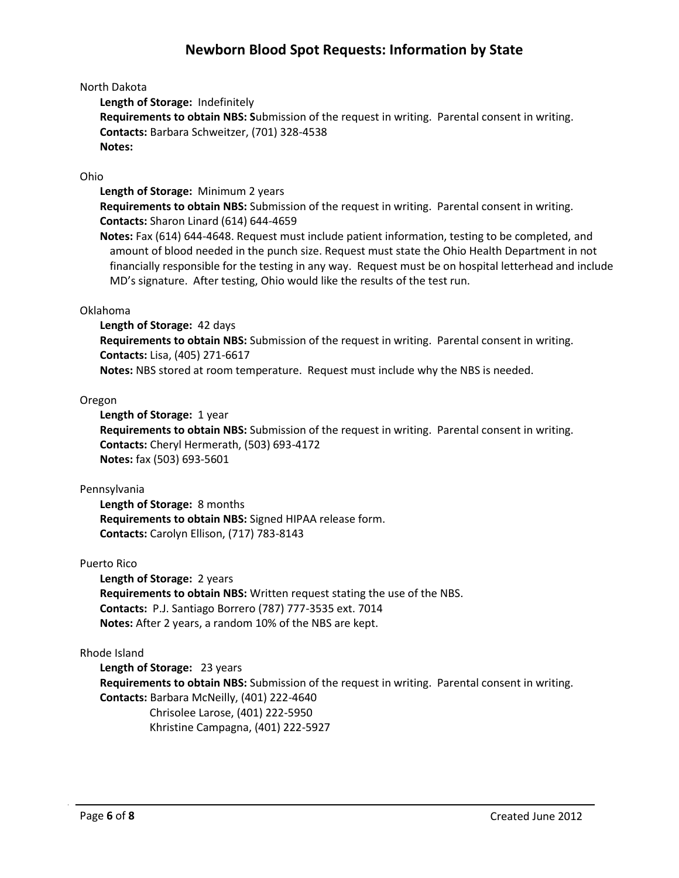## North Dakota

**Length of Storage:** Indefinitely

**Requirements to obtain NBS: S**ubmission of the request in writing. Parental consent in writing. **Contacts:** Barbara Schweitzer, (701) 328-4538 **Notes:**

## Ohio

**Length of Storage:** Minimum 2 years

**Requirements to obtain NBS:** Submission of the request in writing. Parental consent in writing. **Contacts:** Sharon Linard (614) 644-4659

**Notes:** Fax (614) 644-4648. Request must include patient information, testing to be completed, and amount of blood needed in the punch size. Request must state the Ohio Health Department in not financially responsible for the testing in any way. Request must be on hospital letterhead and include MD's signature. After testing, Ohio would like the results of the test run.

## Oklahoma

**Length of Storage:** 42 days **Requirements to obtain NBS:** Submission of the request in writing. Parental consent in writing. **Contacts:** Lisa, (405) 271-6617 **Notes:** NBS stored at room temperature. Request must include why the NBS is needed.

## Oregon

**Length of Storage:** 1 year

**Requirements to obtain NBS:** Submission of the request in writing. Parental consent in writing. **Contacts:** Cheryl Hermerath, (503) 693-4172 **Notes:** fax (503) 693-5601

## Pennsylvania

**Length of Storage:** 8 months **Requirements to obtain NBS:** Signed HIPAA release form. **Contacts:** Carolyn Ellison, (717) 783-8143

## Puerto Rico

**Length of Storage:** 2 years **Requirements to obtain NBS:** Written request stating the use of the NBS. **Contacts:** P.J. Santiago Borrero (787) 777-3535 ext. 7014 **Notes:** After 2 years, a random 10% of the NBS are kept.

## Rhode Island

**Length of Storage:** 23 years **Requirements to obtain NBS:** Submission of the request in writing. Parental consent in writing. **Contacts:** Barbara McNeilly, (401) 222-4640 Chrisolee Larose, (401) 222-5950 Khristine Campagna, (401) 222-5927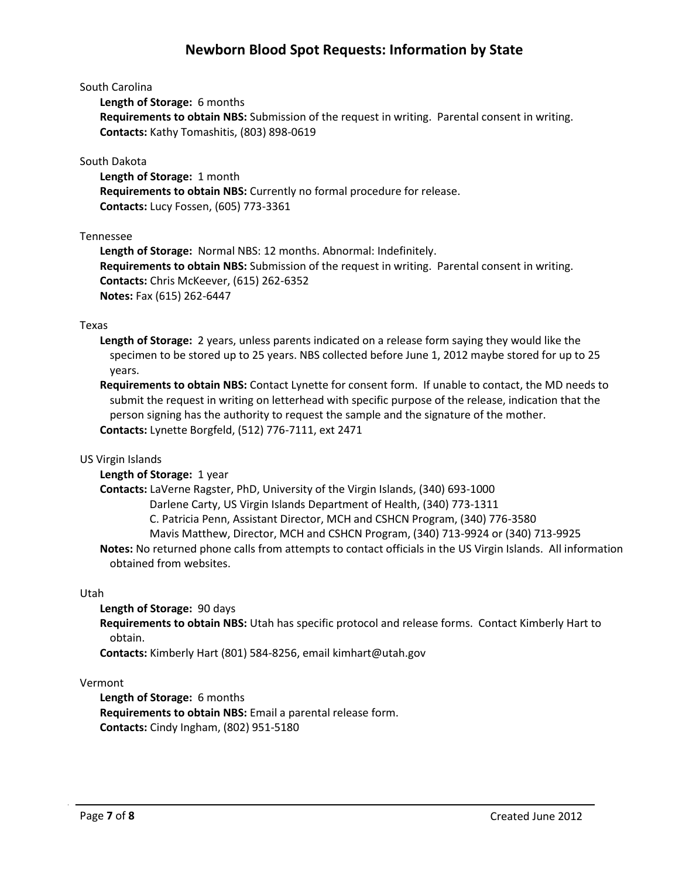### South Carolina

**Length of Storage:** 6 months

**Requirements to obtain NBS:** Submission of the request in writing. Parental consent in writing. **Contacts:** Kathy Tomashitis, (803) 898-0619

### South Dakota

**Length of Storage:** 1 month **Requirements to obtain NBS:** Currently no formal procedure for release. **Contacts:** Lucy Fossen, (605) 773-3361

### Tennessee

**Length of Storage:** Normal NBS: 12 months. Abnormal: Indefinitely. **Requirements to obtain NBS:** Submission of the request in writing. Parental consent in writing. **Contacts:** Chris McKeever, (615) 262-6352 **Notes:** Fax (615) 262-6447

### Texas

**Length of Storage:** 2 years, unless parents indicated on a release form saying they would like the specimen to be stored up to 25 years. NBS collected before June 1, 2012 maybe stored for up to 25 years.

**Requirements to obtain NBS:** Contact Lynette for consent form. If unable to contact, the MD needs to submit the request in writing on letterhead with specific purpose of the release, indication that the person signing has the authority to request the sample and the signature of the mother. **Contacts:** Lynette Borgfeld, (512) 776-7111, ext 2471

## US Virgin Islands

## **Length of Storage:** 1 year

**Contacts:** LaVerne Ragster, PhD, University of the Virgin Islands, (340) 693-1000

Darlene Carty, US Virgin Islands Department of Health, (340) 773-1311

C. Patricia Penn, Assistant Director, MCH and CSHCN Program, (340) 776-3580

Mavis Matthew, Director, MCH and CSHCN Program, (340) 713-9924 or (340) 713-9925

**Notes:** No returned phone calls from attempts to contact officials in the US Virgin Islands. All information obtained from websites.

#### Utah

## **Length of Storage:** 90 days

**Requirements to obtain NBS:** Utah has specific protocol and release forms. Contact Kimberly Hart to obtain.

**Contacts:** Kimberly Hart (801) 584-8256, email kimhart@utah.gov

## Vermont

**Length of Storage:** 6 months **Requirements to obtain NBS:** Email a parental release form. **Contacts:** Cindy Ingham, (802) 951-5180